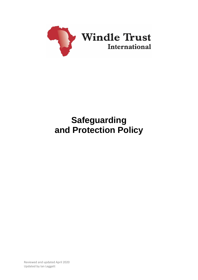

# **Safeguarding and Protection Policy**

Reviewed and updated April 2020 Updated by Ian Leggett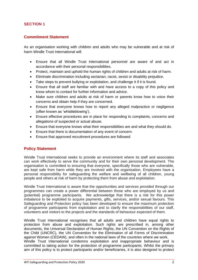# **SECTION 1**

# **Commitment Statement**

As an organisation working with children and adults who may be vulnerable and at risk of harm Windle Trust International will:

- Ensure that all Windle Trust International personnel are aware of and act in accordance with their personal responsibilities.
- Protect, maintain and uphold the human rights of children and adults at risk of harm.
- Eliminate discrimination including sectarian, racist, sexist or disability prejudice.
- Take steps to prevent bullying or exploitation, and challenge it if it is found.
- Ensure that all staff are familiar with and have access to a copy of this policy and know whom to contact for further information and advice.
- Make sure children and adults at risk of harm or parents know how to voice their concerns and obtain help if they are concerned.
- Ensure that everyone knows how to report any alleged malpractice or negligence (often known as 'whistleblowing').
- Ensure effective procedures are in place for responding to complaints, concerns and allegations of suspected or actual abuse.
- Ensure that everyone knows what their responsibilities are and what they should do.
- Ensure that there is documentation of any event of concern.
- Ensure that approved recruitment procedures are followed

# **Policy Statement**

Windle Trust International seeks to provide an environment where its staff and associates can work effectively to serve the community and for their own personal development. The organisation is committed to ensuring that everyone, specifically those who are vulnerable, are kept safe from harm while they are involved with the organisation. Employees have a personal responsibility for safeguarding the welfare and wellbeing of all children, young people and others at risk of harm by protecting them from abuse and exploitation.

Windle Trust International is aware that the opportunities and services provided through our programmes can create a power differential between those who are employed by us and (potential) programme participants. We acknowledge that there is a risk for this power imbalance to be exploited to acquire payments, gifts, services, and/or sexual favours. This Safeguarding and Protection policy has been developed to ensure the maximum protection of programme participants from exploitation and to clarify the responsibilities of our staff, volunteers and visitors to the projects and the standards of behaviour expected of them.

Windle Trust International recognises that all adults and children have equal rights to protection from abuse and exploitation. Such rights are prescribed in, among other documents, the Universal Declaration of Human Rights, the UN Convention on the Rights of the Child (UNCRC), the UN Convention for the Elimination of all Forms of Discrimination against Women (CEDAW), and often in the national laws of the countries where we work.

Windle Trust International condemns exploitation and inappropriate behaviour and is committed to taking action for the protection of programme participants. Whilst the primary aim of this policy is to protect participants and/or beneficiaries, it is also designed to protect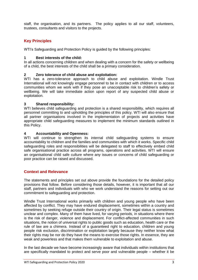staff, the organisation, and its partners. The policy applies to all our staff, volunteers, trustees, consultants and visitors to the projects.

# **Key Principles**

WTI's Safeguarding and Protection Policy is guided by the following principles:

#### **1 Best interests of the child:**

In all actions concerning children and when dealing with a concern for the safety or wellbeing of a child, the best interests of the child shall be a primary consideration.

## **2 Zero tolerance of child abuse and exploitation:**

WTI has a zero-tolerance approach to child abuse and exploitation. Windle Trust International will not knowingly engage personnel to be in contact with children or to access communities whom we work with if they pose an unacceptable risk to children's safety or wellbeing. We will take immediate action upon report of any suspected child abuse or exploitation.

## **3 Shared responsibility:**

WTI believes child safequarding and protection is a shared responsibility, which requires all personnel committing to and upholding the principles of this policy. WTI will also ensure that all partner organisations involved in the implementation of projects and activities have appropriate child safeguarding measures to implement the minimum standards outlined in this Policy.

## **4 Accountability and Openness:**

WTI will continue to strengthen its internal child safeguarding systems to ensure accountability to children and the families and communities with which it works. Specific child safeguarding roles and responsibilities will be delegated to staff to effectively embed child safe organisational practice across all programs, operations and activities. WTI will ensure an organisational child safe culture where any issues or concerns of child safeguarding or poor practice can be raised and discussed.

# **Context and Relevance**

The statements and principles set out above provide the foundations for the detailed policy provisions that follow. Before considering those details, however, it is important that all our staff, partners and individuals with who we work understand the reasons for setting out our commitment to safeguarding and protection.

Windle Trust International works primarily with children and young people who have been affected by conflict. They may have endured displacement, sometimes within a country and sometimes by seeking refuge outside their country of origin. Their legal status is sometimes unclear and complex. Many of them have lived, for varying periods, in situations where there is the risk of danger, violence and displacement. For conflict-affected communities in such situations, the notion of universal rights to public goods such as education, health care or the rule of law are a chimera. Instead of a guaranteed right to education, children and young people risk exclusion, discrimination or exploitation largely because they neither know what their rights may be nor do they have the means to exercise those rights. In essence, they are weak and powerless and that makes them vulnerable to exploitation and abuse.

In the last decade we have become increasingly aware that individuals within institutions that are specifically mandated to protect and serve poor and vulnerable people – whether it be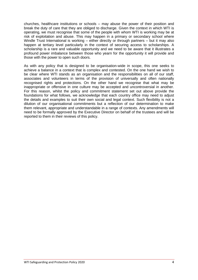churches, healthcare institutions or schools – may abuse the power of their position and break the duty of care that they are obliged to discharge. Given the context in which WTI is operating, we must recognise that some of the people with whom WTI is working may be at risk of exploitation and abuse. This may happen in a primary or secondary school where Windle Trust International is working – either directly or through partners – but it may also happen at tertiary level particularly in the context of securing access to scholarships. A scholarship is a rare and valuable opportunity and we need to be aware that it illustrates a profound power imbalance between those who yearn for the opportunity it will provide and those with the power to open such doors.

As with any policy that is designed to be organisation-wide in scope, this one seeks to achieve a balance in a context that is complex and contested. On the one hand we wish to be clear where WTI stands as an organisation and the responsibilities on all of our staff, associates and volunteers in terms of the provision of universally and often nationally recognised rights and protections. On the other hand we recognise that what may be inappropriate or offensive in one culture may be accepted and uncontroversial in another. For this reason, whilst the policy and commitment statement set out above provide the foundations for what follows, we acknowledge that each country office may need to adjust the details and examples to suit their own social and legal context. Such flexibility is not a dilution of our organisational commitments but a reflection of our determination to make them relevant, appropriate and understandable in a range of contexts. Any amendments will need to be formally approved by the Executive Director on behalf of the trustees and will be reported to them in their reviews of this policy.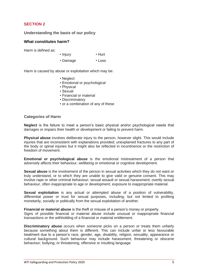# **SECTION 2**

**Understanding the basis of our policy**

## **What constitutes harm?**

Harm is defined as:

- Injury Hurt
- Damage Loss

Harm is caused by abuse or exploitation which may be:

- Neglect
- Emotional or psychological
- Physical
- Sexual
- Financial or material
- Discriminatory
- or a combination of any of these

#### **Categories of Harm**

**Neglect** is the failure to meet a person's basic physical and/or psychological needs that damages or impairs their health or development or failing to prevent harm.

**Physical abuse** involves deliberate injury to the person, however slight. This would include injuries that are inconsistent with explanations provided; unexplained fractures to any part of the body or spinal injuries but it might also be reflected in incontinence or the restriction of freedom of movement.

**Emotional or psychological abuse** is the emotional mistreatment of a person that adversely affects their behaviour, wellbeing or emotional or cognitive development.

**Sexual abuse** is the involvement of the person in sexual activities which they do not want or truly understand, or to which they are unable to give valid or genuine consent. This may involve rape or other criminal behaviour; sexual assault or sexual harassment; overtly sexual behaviour, often inappropriate to age or development; exposure to inappropriate material.

**Sexual exploitation** is any actual or attempted abuse of a position of vulnerability, differential power or trust for sexual purposes, including, but not limited to profiting monetarily, socially or politically from the sexual exploitation of another.

**Financial or material abuse** is the theft or misuse of a person's money or property. Signs of possible financial or material abuse include unusual or inappropriate financial transactions or the withholding of a financial or material entitlement.

**Discriminatory abuse** occurs when someone picks on a person or treats them unfairly because something about them is different. This can include unfair or less favourable treatment due to a person's race, gender, age, disability, religion, sexuality, appearance or cultural background. Such behaviour may include harassment, threatening or obscene behaviour; bullying; or threatening, offensive or insulting language.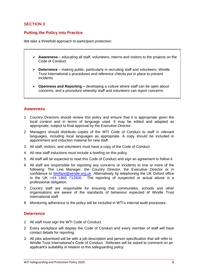# **SECTION 3**

# **Putting the Policy into Practice**

We take a threefold approach to participant protection:

- ➢ **Awareness** educating all staff, volunteers, interns and visitors to the projects on the Code of Conduct
- ➢ **Deterrence** making public, particularly in recruiting staff and volunteers, Windle Trust International s procedures and reference checks put in place to prevent incidents
- ➢ **Openness and Reporting –** developing a culture where staff can be open about concerns, and a procedure whereby staff and volunteers can report concerns

#### **Awareness**

- 1 Country Directors should review this policy and ensure that it is appropriate given the local context and in terms of language used. It may be edited and adapted as appropriate, subject to final approval by the Executive Director.
- 2 Managers should distribute copies of the WTI Code of Conduct to staff in relevant languages, including local languages as appropriate. A copy should be included in appointment and induction material for new staff.
- 3 All staff, visitors, and volunteers must have a copy of the Code of Conduct.
- 4 All new staff inductions must include a briefing on this policy.
- 5 All staff will be expected to read this Code of Conduct and sign an agreement to follow it.
- 6 All staff are responsible for reporting any concerns or incidents to one or more of the following: The Line Manager, the Country Director, the Executive Director or in confidence to [Welfare@windle.org.uk](mailto:Welfare@windle.org.uk) Alternatively by telephoning the UK Oxford office in the UK  $+44$  1865 712900. The reporting of suspected or actual abuse is a professional obligation.
- 7 Country staff are responsible for ensuring that communities, schools and other organisations are aware of the standards of behaviour expected of Windle Trust International staff.
- 8 Monitoring adherence to the policy will be included in WTI's internal audit processes.

# **Deterrence**

- 1 All staff must sign the WTI Code of Conduct.
- 2 Every workplace will display the Code of Conduct and every member of staff will have contact details for reporting.
- 3 All jobs advertised will be with a job description and person specification that will refer to Windle Trust International's Code of Conduct. Referees will be asked to comment on an applicant's suitability in relation to this safeguarding policy.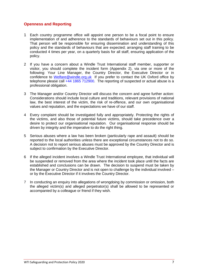# **Openness and Reporting**

- 1 Each country programme office will appoint one person to be a focal point to ensure implementation of and adherence to the standards of behaviours set out in this policy. That person will be responsible for ensuring dissemination and understanding of this policy and the standards of behaviours that are expected; arranging staff training to be conducted 4 times per year, on a quarterly basis for all staff, ensuring application of the policy.
- 2 If you have a concern about a Windle Trust International staff member, supporter or visitor, you should complete the incident form (Appendix 2), via one or more of the following: Your Line Manager, the Country Director, the Executive Director or in confidence to [Welfare@windle.org.uk](mailto:Welfare@windle.org.uk) If you prefer to contact the UK Oxford office by telephone please call +44 1865 712900. The reporting of suspected or actual abuse is a professional obligation.
- 3 The Manager and/or Country Director will discuss the concern and agree further action: Considerations should include local culture and traditions, relevant provisions of national law, the best interest of the victim, the risk of re-offence, and our own organisational values and reputation, and the expectations we have of our staff.
- 4 Every complaint should be investigated fully and appropriately. Protecting the rights of the victims, and also those of potential future victims, should take precedence over a desire to protect our organisational reputation. Our organisational response should be driven by integrity and the imperative to do the right thing.
- 5 Serious abuses where a law has been broken (particularly rape and assault) should be reported to the local authorities unless there are exceptional circumstances not to do so. A decision not to report serious abuses must be approved by the Country Director and is subject to confirmation by the Executive Director.
- 6 If the alleged incident involves a Windle Trust International employee, that individual will be suspended or removed from the area where the incident took place until the facts are established and conclusions can be drawn. The decision to suspend must be taken by the Manager or Country Director and is not open to challenge by the individual involved – or by the Executive Director if it involves the Country Director.
- 7 In conducting an enquiry into allegations of wrongdoing by commission or omission, both the alleged victim(s) and alleged perpetrator(s) shall be allowed to be represented or accompanied by a colleague or friend if they wish.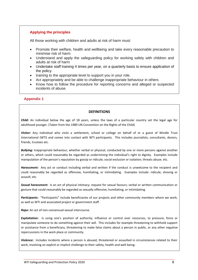# **Applying the principles**

All those working with children and adults at risk of harm must:

- Promote their welfare, health and wellbeing and take every reasonable precaution to minimise risk of harm
- Understand and apply the safeguarding policy for working safely with children and adults at risk of harm
- Undertake staff training 4 times per year, on a quarterly basis to ensure application of the policy.
- training to the appropriate level to support you in your role.
- Act appropriately and be able to challenge inappropriate behaviour in others
- Know how to follow the procedure for reporting concerns and alleged or suspected incidents of abuse.

# **Appendix 1**

#### **DEFINITIONS**

*Child:* An individual below the age of 18 years, unless the laws of a particular country set the legal age for adulthood younger. (Taken from the 1989 UN Convention on the Rights of the Child)

*Visitor:* Any individual who visits a settlement, school or college on behalf of or a guest of Windle Trust International (WTI) and comes into contact with WTI participants. This includes journalists, consultants, donors, friends, trustees etc.

*Bullying:* Inappropriate behaviour, whether verbal or physical, conducted by one or more persons against another or others, which could reasonably be regarded as undermining the individual's right to dignity. Examples include manipulation of the person's reputation by gossip or ridicule; social exclusion or isolation; threats abuse; etc.

*Harassment:* Any act or conduct including verbal and written if the conduct is unwelcome to the recipient and could reasonably be regarded as offensive, humiliating, or intimidating. Examples include: ridicule; shoving or assault; etc.

*Sexual harassment:* Is an act of physical intimacy; request for sexual favours; verbal or written communication or gesture that could reasonably be regarded as sexually offensive, humiliating, or intimidating.

Participants: "Participants" include beneficiaries of our projects and other community members where we work, as well as WTI and associated project or government staff.

*Rape:* An act of non-consensual sexual intercourse.

*Exploitation:* Is using one's position of authority, influence or control over resources, to pressure, force or manipulate someone to do something against their will. This includes for example threatening to withhold support or assistance from a beneficiary, threatening to make false claims about a person in public, or any other negative repercussions in the work place or community.

*Violence:* Includes incidents where a person is abused, threatened or assaulted in circumstances related to their work, involving an explicit or implicit challenge to their safety, health and well-being.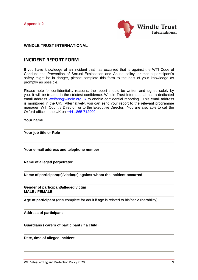**Appendix 2**



# **WINDLE TRUST INTERNATIONAL**

# **INCIDENT REPORT FORM**

If you have knowledge of an incident that has occurred that is against the WTI Code of Conduct, the Prevention of Sexual Exploitation and Abuse policy, or that a participant's safety might be in danger, please complete this form to the best of your knowledge as promptly as possible.

Please note for confidentiality reasons, the report should be written and signed solely by you. It will be treated in the strictest confidence. Windle Trust International has a dedicated email address [Welfare@windle.org.uk](mailto:Welfare@windle.org.uk) to enable confidential reporting. This email address is monitored in the UK. Alternatively, you can send your report to the relevant programme manager, WTI Country Director, or to the Executive Director. You are also able to call the Oxford office in the UK on +44 1865 712900.

#### **Your name**

**Your job title or Role**

**Your e-mail address and telephone number**

**Name of alleged perpetrator**

**Name of participant(s)/victim(s) against whom the incident occurred**

**Gender of participant/alleged victim MALE / FEMALE**

**Age of participant** (only complete for adult if age is related to his/her vulnerability)

**Address of participant**

**Guardians / carers of participant (if a child)**

#### **Date, time of alleged incident**